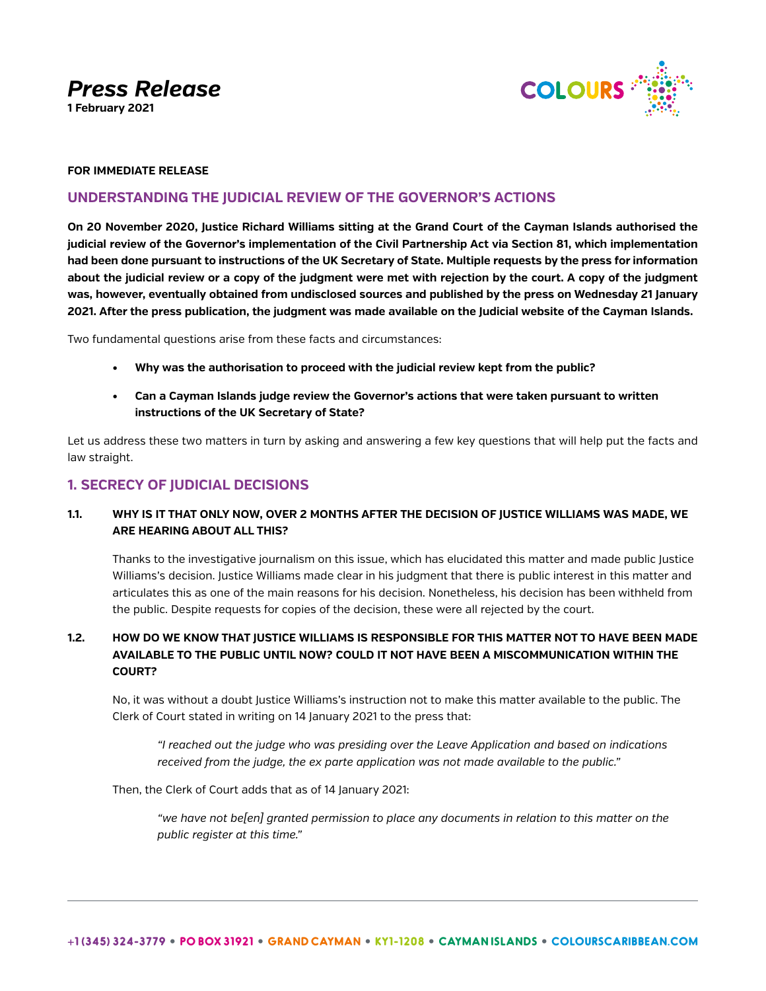*Press Release*

**1 February 2021**



### **FOR IMMEDIATE RELEASE**

# **UNDERSTANDING THE JUDICIAL REVIEW OF THE GOVERNOR'S ACTIONS**

**On 20 November 2020, Justice Richard Williams sitting at the Grand Court of the Cayman Islands authorised the judicial review of the Governor's implementation of the Civil Partnership Act via Section 81, which implementation had been done pursuant to instructions of the UK Secretary of State. Multiple requests by the press for information about the judicial review or a copy of the judgment were met with rejection by the court. A copy of the judgment was, however, eventually obtained from undisclosed sources and published by the press on Wednesday 21 January 2021. After the press publication, the judgment was made available on the Judicial website of the Cayman Islands.**

Two fundamental questions arise from these facts and circumstances:

- **• Why was the authorisation to proceed with the judicial review kept from the public?**
- **• Can a Cayman Islands judge review the Governor's actions that were taken pursuant to written instructions of the UK Secretary of State?**

Let us address these two matters in turn by asking and answering a few key questions that will help put the facts and law straight.

# **1. SECRECY OF JUDICIAL DECISIONS**

# **1.1. WHY IS IT THAT ONLY NOW, OVER 2 MONTHS AFTER THE DECISION OF JUSTICE WILLIAMS WAS MADE, WE ARE HEARING ABOUT ALL THIS?**

Thanks to the investigative journalism on this issue, which has elucidated this matter and made public Justice Williams's decision. Justice Williams made clear in his judgment that there is public interest in this matter and articulates this as one of the main reasons for his decision. Nonetheless, his decision has been withheld from the public. Despite requests for copies of the decision, these were all rejected by the court.

# **1.2. HOW DO WE KNOW THAT JUSTICE WILLIAMS IS RESPONSIBLE FOR THIS MATTER NOT TO HAVE BEEN MADE AVAILABLE TO THE PUBLIC UNTIL NOW? COULD IT NOT HAVE BEEN A MISCOMMUNICATION WITHIN THE COURT?**

No, it was without a doubt Justice Williams's instruction not to make this matter available to the public. The Clerk of Court stated in writing on 14 January 2021 to the press that:

*"I reached out the judge who was presiding over the Leave Application and based on indications received from the judge, the ex parte application was not made available to the public."*

Then, the Clerk of Court adds that as of 14 January 2021:

*"we have not be[en] granted permission to place any documents in relation to this matter on the public register at this time."*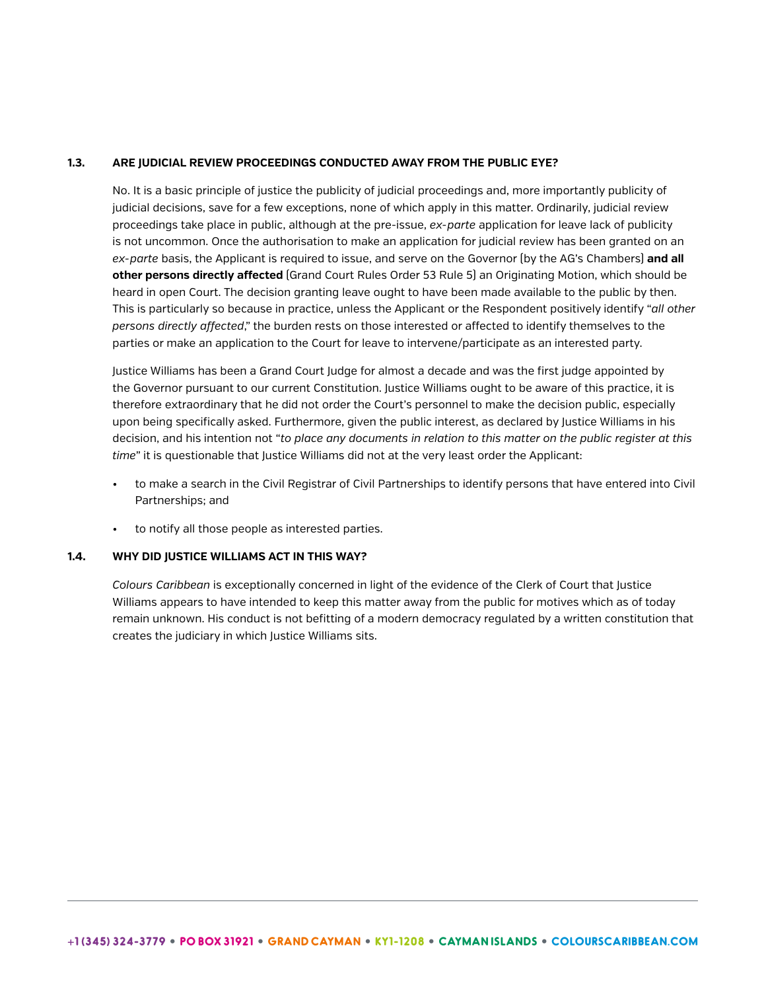### **1.3. ARE JUDICIAL REVIEW PROCEEDINGS CONDUCTED AWAY FROM THE PUBLIC EYE?**

No. It is a basic principle of justice the publicity of judicial proceedings and, more importantly publicity of judicial decisions, save for a few exceptions, none of which apply in this matter. Ordinarily, judicial review proceedings take place in public, although at the pre-issue, *ex-parte* application for leave lack of publicity is not uncommon. Once the authorisation to make an application for judicial review has been granted on an *ex-parte* basis, the Applicant is required to issue, and serve on the Governor (by the AG's Chambers) **and all other persons directly affected** (Grand Court Rules Order 53 Rule 5) an Originating Motion, which should be heard in open Court. The decision granting leave ought to have been made available to the public by then. This is particularly so because in practice, unless the Applicant or the Respondent positively identify "*all other persons directly affected*," the burden rests on those interested or affected to identify themselves to the parties or make an application to the Court for leave to intervene/participate as an interested party.

Justice Williams has been a Grand Court Judge for almost a decade and was the first judge appointed by the Governor pursuant to our current Constitution. Justice Williams ought to be aware of this practice, it is therefore extraordinary that he did not order the Court's personnel to make the decision public, especially upon being specifically asked. Furthermore, given the public interest, as declared by Justice Williams in his decision, and his intention not "*to place any documents in relation to this matter on the public register at this time*" it is questionable that Justice Williams did not at the very least order the Applicant:

- to make a search in the Civil Registrar of Civil Partnerships to identify persons that have entered into Civil Partnerships; and
- to notify all those people as interested parties.

#### **1.4. WHY DID JUSTICE WILLIAMS ACT IN THIS WAY?**

*Colours Caribbean* is exceptionally concerned in light of the evidence of the Clerk of Court that Justice Williams appears to have intended to keep this matter away from the public for motives which as of today remain unknown. His conduct is not befitting of a modern democracy regulated by a written constitution that creates the judiciary in which Justice Williams sits.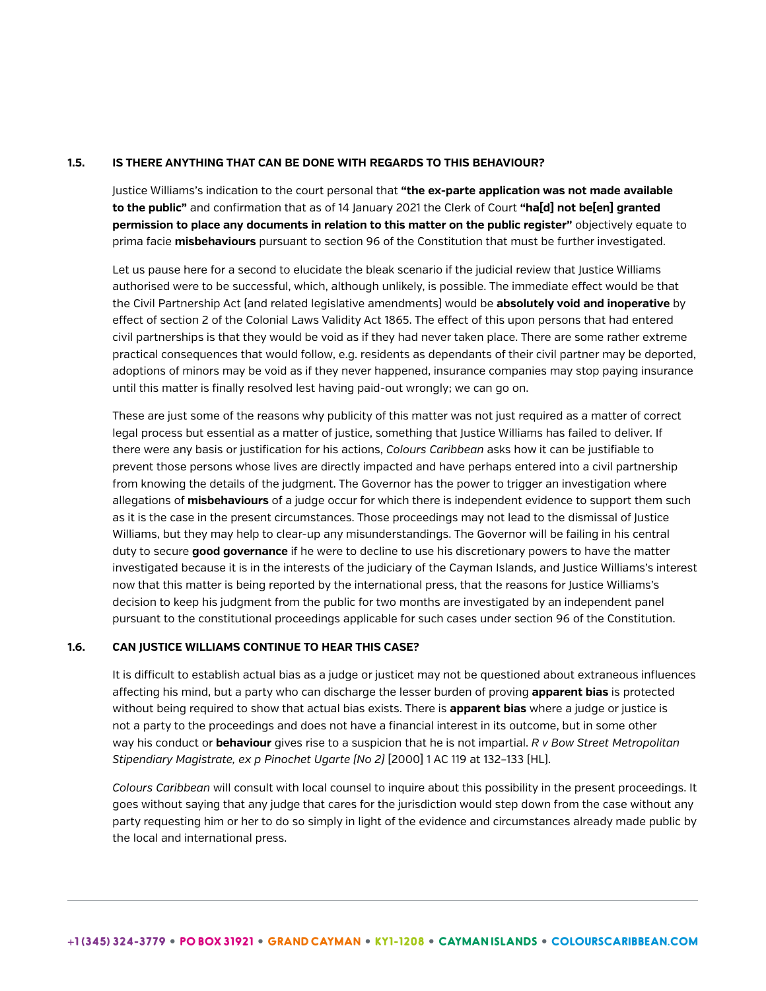#### **1.5. IS THERE ANYTHING THAT CAN BE DONE WITH REGARDS TO THIS BEHAVIOUR?**

Justice Williams's indication to the court personal that **"the ex-parte application was not made available to the public"** and confirmation that as of 14 January 2021 the Clerk of Court **"ha[d] not be[en] granted permission to place any documents in relation to this matter on the public register"** objectively equate to prima facie **misbehaviours** pursuant to section 96 of the Constitution that must be further investigated.

Let us pause here for a second to elucidate the bleak scenario if the judicial review that Justice Williams authorised were to be successful, which, although unlikely, is possible. The immediate effect would be that the Civil Partnership Act (and related legislative amendments) would be **absolutely void and inoperative** by effect of section 2 of the Colonial Laws Validity Act 1865. The effect of this upon persons that had entered civil partnerships is that they would be void as if they had never taken place. There are some rather extreme practical consequences that would follow, e.g. residents as dependants of their civil partner may be deported, adoptions of minors may be void as if they never happened, insurance companies may stop paying insurance until this matter is finally resolved lest having paid-out wrongly; we can go on.

These are just some of the reasons why publicity of this matter was not just required as a matter of correct legal process but essential as a matter of justice, something that Justice Williams has failed to deliver. If there were any basis or justification for his actions, *Colours Caribbean* asks how it can be justifiable to prevent those persons whose lives are directly impacted and have perhaps entered into a civil partnership from knowing the details of the judgment. The Governor has the power to trigger an investigation where allegations of **misbehaviours** of a judge occur for which there is independent evidence to support them such as it is the case in the present circumstances. Those proceedings may not lead to the dismissal of Justice Williams, but they may help to clear-up any misunderstandings. The Governor will be failing in his central duty to secure **good governance** if he were to decline to use his discretionary powers to have the matter investigated because it is in the interests of the judiciary of the Cayman Islands, and Justice Williams's interest now that this matter is being reported by the international press, that the reasons for Justice Williams's decision to keep his judgment from the public for two months are investigated by an independent panel pursuant to the constitutional proceedings applicable for such cases under section 96 of the Constitution.

### **1.6. CAN JUSTICE WILLIAMS CONTINUE TO HEAR THIS CASE?**

It is difficult to establish actual bias as a judge or justicet may not be questioned about extraneous influences affecting his mind, but a party who can discharge the lesser burden of proving **apparent bias** is protected without being required to show that actual bias exists. There is **apparent bias** where a judge or justice is not a party to the proceedings and does not have a financial interest in its outcome, but in some other way his conduct or **behaviour** gives rise to a suspicion that he is not impartial. *R v Bow Street Metropolitan Stipendiary Magistrate, ex p Pinochet Ugarte (No 2)* [2000] 1 AC 119 at 132–133 (HL).

*Colours Caribbean* will consult with local counsel to inquire about this possibility in the present proceedings. It goes without saying that any judge that cares for the jurisdiction would step down from the case without any party requesting him or her to do so simply in light of the evidence and circumstances already made public by the local and international press.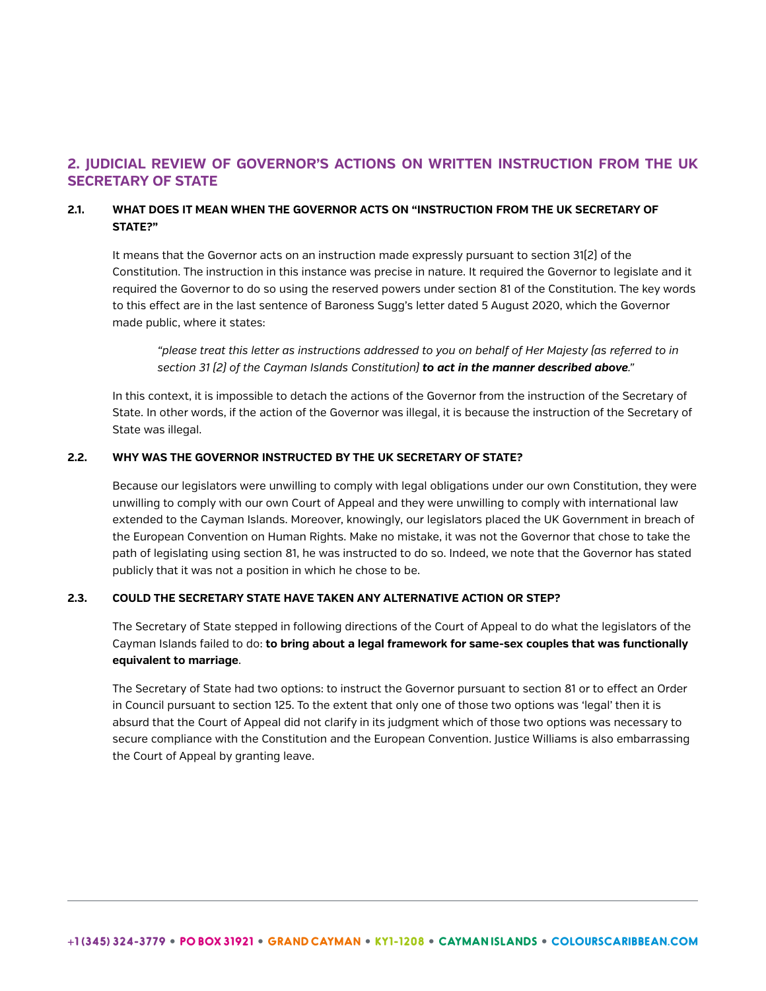# **2. JUDICIAL REVIEW OF GOVERNOR'S ACTIONS ON WRITTEN INSTRUCTION FROM THE UK SECRETARY OF STATE**

## **2.1. WHAT DOES IT MEAN WHEN THE GOVERNOR ACTS ON "INSTRUCTION FROM THE UK SECRETARY OF STATE?"**

It means that the Governor acts on an instruction made expressly pursuant to section 31(2) of the Constitution. The instruction in this instance was precise in nature. It required the Governor to legislate and it required the Governor to do so using the reserved powers under section 81 of the Constitution. The key words to this effect are in the last sentence of Baroness Sugg's letter dated 5 August 2020, which the Governor made public, where it states:

*"please treat this letter as instructions addressed to you on behalf of Her Majesty (as referred to in section 31 (2) of the Cayman Islands Constitution) to act in the manner described above."*

In this context, it is impossible to detach the actions of the Governor from the instruction of the Secretary of State. In other words, if the action of the Governor was illegal, it is because the instruction of the Secretary of State was illegal.

### **2.2. WHY WAS THE GOVERNOR INSTRUCTED BY THE UK SECRETARY OF STATE?**

Because our legislators were unwilling to comply with legal obligations under our own Constitution, they were unwilling to comply with our own Court of Appeal and they were unwilling to comply with international law extended to the Cayman Islands. Moreover, knowingly, our legislators placed the UK Government in breach of the European Convention on Human Rights. Make no mistake, it was not the Governor that chose to take the path of legislating using section 81, he was instructed to do so. Indeed, we note that the Governor has stated publicly that it was not a position in which he chose to be.

### **2.3. COULD THE SECRETARY STATE HAVE TAKEN ANY ALTERNATIVE ACTION OR STEP?**

The Secretary of State stepped in following directions of the Court of Appeal to do what the legislators of the Cayman Islands failed to do: **to bring about a legal framework for same-sex couples that was functionally equivalent to marriage**.

The Secretary of State had two options: to instruct the Governor pursuant to section 81 or to effect an Order in Council pursuant to section 125. To the extent that only one of those two options was 'legal' then it is absurd that the Court of Appeal did not clarify in its judgment which of those two options was necessary to secure compliance with the Constitution and the European Convention. Justice Williams is also embarrassing the Court of Appeal by granting leave.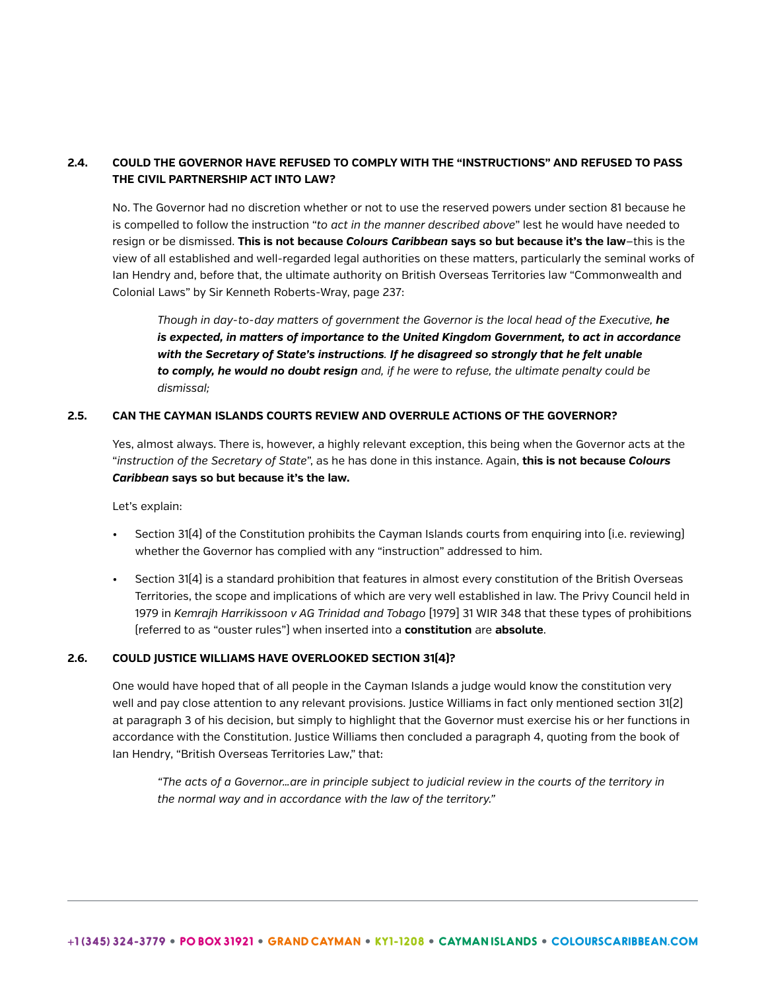# **2.4. COULD THE GOVERNOR HAVE REFUSED TO COMPLY WITH THE "INSTRUCTIONS" AND REFUSED TO PASS THE CIVIL PARTNERSHIP ACT INTO LAW?**

No. The Governor had no discretion whether or not to use the reserved powers under section 81 because he is compelled to follow the instruction "*to act in the manner described above*" lest he would have needed to resign or be dismissed. **This is not because** *Colours Caribbean* **says so but because it's the law**—this is the view of all established and well-regarded legal authorities on these matters, particularly the seminal works of Ian Hendry and, before that, the ultimate authority on British Overseas Territories law "Commonwealth and Colonial Laws" by Sir Kenneth Roberts-Wray, page 237:

*Though in day-to-day matters of government the Governor is the local head of the Executive, he is expected, in matters of importance to the United Kingdom Government, to act in accordance with the Secretary of State's instructions. If he disagreed so strongly that he felt unable to comply, he would no doubt resign and, if he were to refuse, the ultimate penalty could be dismissal;*

### **2.5. CAN THE CAYMAN ISLANDS COURTS REVIEW AND OVERRULE ACTIONS OF THE GOVERNOR?**

Yes, almost always. There is, however, a highly relevant exception, this being when the Governor acts at the "*instruction of the Secretary of State*", as he has done in this instance. Again, **this is not because** *Colours Caribbean* **says so but because it's the law.**

Let's explain:

- Section 31(4) of the Constitution prohibits the Cayman Islands courts from enquiring into (i.e. reviewing) whether the Governor has complied with any "instruction" addressed to him.
- Section 31(4) is a standard prohibition that features in almost every constitution of the British Overseas Territories, the scope and implications of which are very well established in law. The Privy Council held in 1979 in *Kemrajh Harrikissoon v AG Trinidad and Tobago* [1979] 31 WIR 348 that these types of prohibitions (referred to as "ouster rules") when inserted into a **constitution** are **absolute**.

#### **2.6. COULD JUSTICE WILLIAMS HAVE OVERLOOKED SECTION 31(4)?**

One would have hoped that of all people in the Cayman Islands a judge would know the constitution very well and pay close attention to any relevant provisions. Justice Williams in fact only mentioned section 31(2) at paragraph 3 of his decision, but simply to highlight that the Governor must exercise his or her functions in accordance with the Constitution. Justice Williams then concluded a paragraph 4, quoting from the book of Ian Hendry, "British Overseas Territories Law," that:

*"The acts of a Governor…are in principle subject to judicial review in the courts of the territory in the normal way and in accordance with the law of the territory."*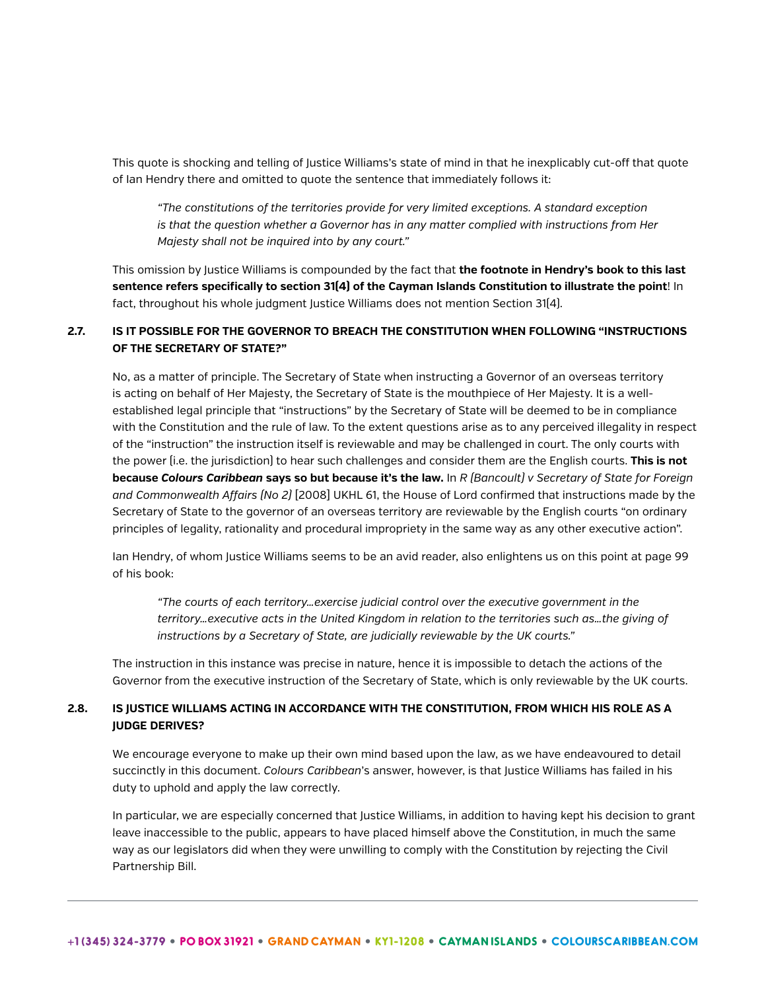This quote is shocking and telling of Justice Williams's state of mind in that he inexplicably cut-off that quote of Ian Hendry there and omitted to quote the sentence that immediately follows it:

*"The constitutions of the territories provide for very limited exceptions. A standard exception is that the question whether a Governor has in any matter complied with instructions from Her Majesty shall not be inquired into by any court."*

This omission by Justice Williams is compounded by the fact that **the footnote in Hendry's book to this last sentence refers specifically to section 31(4) of the Cayman Islands Constitution to illustrate the point**! In fact, throughout his whole judgment Justice Williams does not mention Section 31(4).

# **2.7. IS IT POSSIBLE FOR THE GOVERNOR TO BREACH THE CONSTITUTION WHEN FOLLOWING "INSTRUCTIONS OF THE SECRETARY OF STATE?"**

No, as a matter of principle. The Secretary of State when instructing a Governor of an overseas territory is acting on behalf of Her Majesty, the Secretary of State is the mouthpiece of Her Majesty. It is a wellestablished legal principle that "instructions" by the Secretary of State will be deemed to be in compliance with the Constitution and the rule of law. To the extent questions arise as to any perceived illegality in respect of the "instruction" the instruction itself is reviewable and may be challenged in court. The only courts with the power (i.e. the jurisdiction) to hear such challenges and consider them are the English courts. **This is not because** *Colours Caribbean* **says so but because it's the law.** In *R (Bancoult) v Secretary of State for Foreign and Commonwealth Affairs (No 2)* [2008] UKHL 61, the House of Lord confirmed that instructions made by the Secretary of State to the governor of an overseas territory are reviewable by the English courts "on ordinary principles of legality, rationality and procedural impropriety in the same way as any other executive action".

Ian Hendry, of whom Justice Williams seems to be an avid reader, also enlightens us on this point at page 99 of his book:

*"The courts of each territory…exercise judicial control over the executive government in the territory…executive acts in the United Kingdom in relation to the territories such as…the giving of instructions by a Secretary of State, are judicially reviewable by the UK courts."*

The instruction in this instance was precise in nature, hence it is impossible to detach the actions of the Governor from the executive instruction of the Secretary of State, which is only reviewable by the UK courts.

# **2.8. IS JUSTICE WILLIAMS ACTING IN ACCORDANCE WITH THE CONSTITUTION, FROM WHICH HIS ROLE AS A JUDGE DERIVES?**

We encourage everyone to make up their own mind based upon the law, as we have endeavoured to detail succinctly in this document. *Colours Caribbean*'s answer, however, is that Justice Williams has failed in his duty to uphold and apply the law correctly.

In particular, we are especially concerned that Justice Williams, in addition to having kept his decision to grant leave inaccessible to the public, appears to have placed himself above the Constitution, in much the same way as our legislators did when they were unwilling to comply with the Constitution by rejecting the Civil Partnership Bill.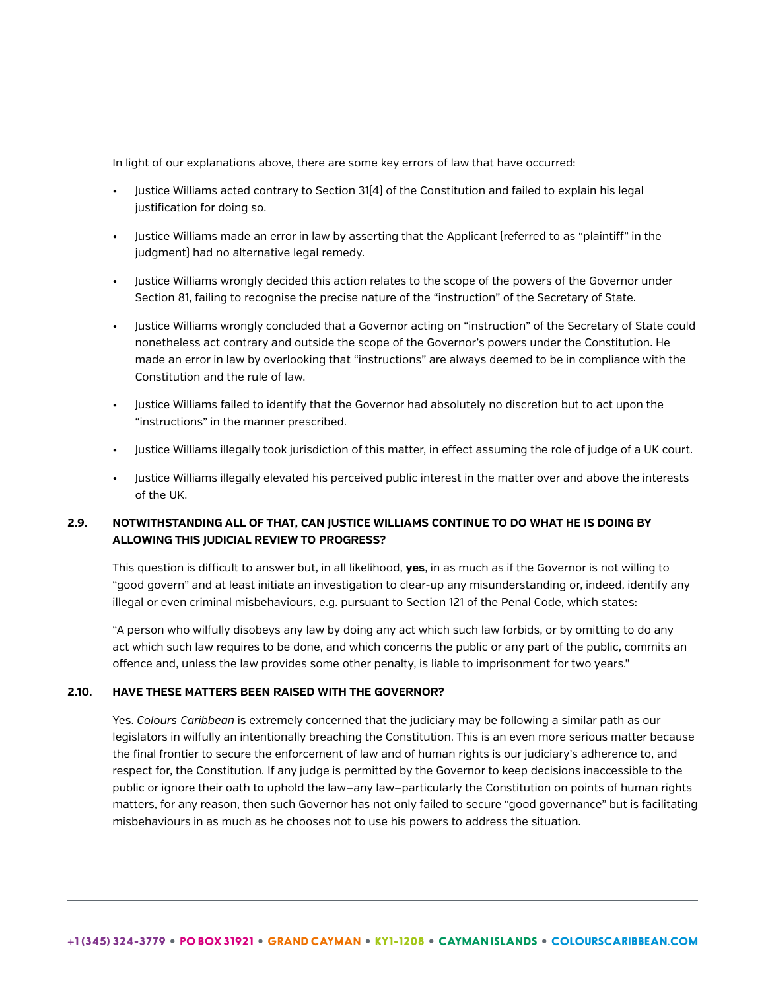In light of our explanations above, there are some key errors of law that have occurred:

- Justice Williams acted contrary to Section 31(4) of the Constitution and failed to explain his legal justification for doing so.
- Justice Williams made an error in law by asserting that the Applicant (referred to as "plaintiff" in the judgment) had no alternative legal remedy.
- Justice Williams wrongly decided this action relates to the scope of the powers of the Governor under Section 81, failing to recognise the precise nature of the "instruction" of the Secretary of State.
- Justice Williams wrongly concluded that a Governor acting on "instruction" of the Secretary of State could nonetheless act contrary and outside the scope of the Governor's powers under the Constitution. He made an error in law by overlooking that "instructions" are always deemed to be in compliance with the Constitution and the rule of law.
- Justice Williams failed to identify that the Governor had absolutely no discretion but to act upon the "instructions" in the manner prescribed.
- Justice Williams illegally took jurisdiction of this matter, in effect assuming the role of judge of a UK court.
- Justice Williams illegally elevated his perceived public interest in the matter over and above the interests of the UK.

## **2.9. NOTWITHSTANDING ALL OF THAT, CAN JUSTICE WILLIAMS CONTINUE TO DO WHAT HE IS DOING BY ALLOWING THIS JUDICIAL REVIEW TO PROGRESS?**

This question is difficult to answer but, in all likelihood, **yes**, in as much as if the Governor is not willing to "good govern" and at least initiate an investigation to clear-up any misunderstanding or, indeed, identify any illegal or even criminal misbehaviours, e.g. pursuant to Section 121 of the Penal Code, which states:

"A person who wilfully disobeys any law by doing any act which such law forbids, or by omitting to do any act which such law requires to be done, and which concerns the public or any part of the public, commits an offence and, unless the law provides some other penalty, is liable to imprisonment for two years."

### **2.10. HAVE THESE MATTERS BEEN RAISED WITH THE GOVERNOR?**

Yes. *Colours Caribbean* is extremely concerned that the judiciary may be following a similar path as our legislators in wilfully an intentionally breaching the Constitution. This is an even more serious matter because the final frontier to secure the enforcement of law and of human rights is our judiciary's adherence to, and respect for, the Constitution. If any judge is permitted by the Governor to keep decisions inaccessible to the public or ignore their oath to uphold the law—any law—particularly the Constitution on points of human rights matters, for any reason, then such Governor has not only failed to secure "good governance" but is facilitating misbehaviours in as much as he chooses not to use his powers to address the situation.